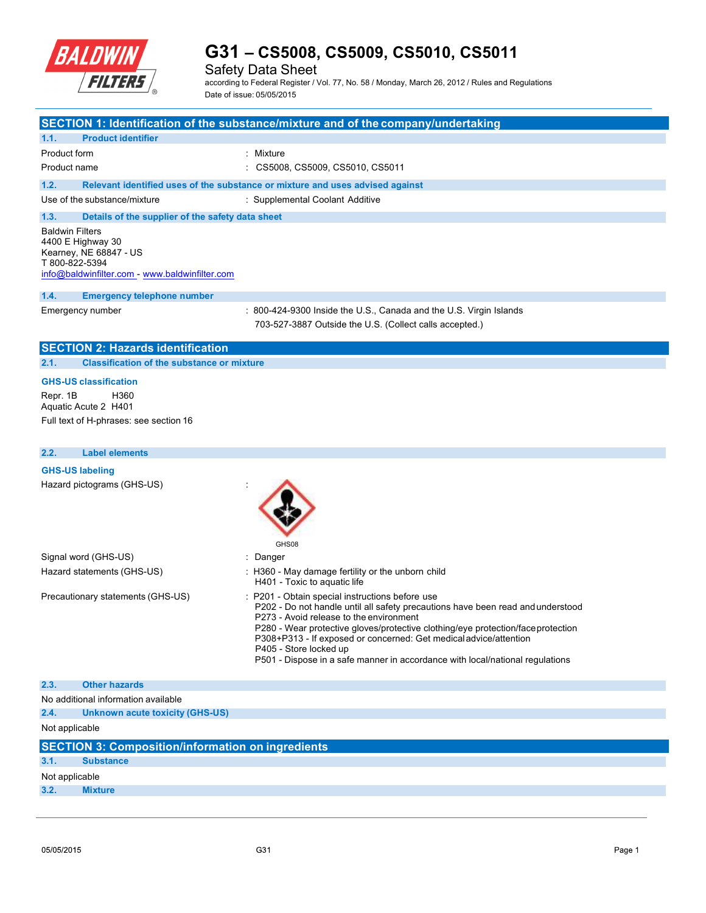

## **G31 – CS5008, CS5009, CS5010, CS5011**

Safety Data Sheet

according to Federal Register / Vol. 77, No. 58 / Monday, March 26, 2012 / Rules and Regulations Date of issue: 05/05/2015

|                                                                                                                                           | SECTION 1: Identification of the substance/mixture and of the company/undertaking                                                                                                                                                                                                                                                                                                                                                                |
|-------------------------------------------------------------------------------------------------------------------------------------------|--------------------------------------------------------------------------------------------------------------------------------------------------------------------------------------------------------------------------------------------------------------------------------------------------------------------------------------------------------------------------------------------------------------------------------------------------|
| 1.1.<br><b>Product identifier</b>                                                                                                         |                                                                                                                                                                                                                                                                                                                                                                                                                                                  |
| Product form                                                                                                                              | : Mixture                                                                                                                                                                                                                                                                                                                                                                                                                                        |
| Product name                                                                                                                              | : CS5008, CS5009, CS5010, CS5011                                                                                                                                                                                                                                                                                                                                                                                                                 |
| 1.2.                                                                                                                                      | Relevant identified uses of the substance or mixture and uses advised against                                                                                                                                                                                                                                                                                                                                                                    |
| Use of the substance/mixture                                                                                                              | : Supplemental Coolant Additive                                                                                                                                                                                                                                                                                                                                                                                                                  |
| 1.3.<br>Details of the supplier of the safety data sheet                                                                                  |                                                                                                                                                                                                                                                                                                                                                                                                                                                  |
| <b>Baldwin Filters</b><br>4400 E Highway 30<br>Kearney, NE 68847 - US<br>T 800-822-5394<br>info@baldwinfilter.com - www.baldwinfilter.com |                                                                                                                                                                                                                                                                                                                                                                                                                                                  |
| 1.4.<br><b>Emergency telephone number</b>                                                                                                 |                                                                                                                                                                                                                                                                                                                                                                                                                                                  |
| Emergency number                                                                                                                          | : 800-424-9300 Inside the U.S., Canada and the U.S. Virgin Islands<br>703-527-3887 Outside the U.S. (Collect calls accepted.)                                                                                                                                                                                                                                                                                                                    |
| <b>SECTION 2: Hazards identification</b>                                                                                                  |                                                                                                                                                                                                                                                                                                                                                                                                                                                  |
| 2.1.<br><b>Classification of the substance or mixture</b>                                                                                 |                                                                                                                                                                                                                                                                                                                                                                                                                                                  |
| <b>GHS-US classification</b>                                                                                                              |                                                                                                                                                                                                                                                                                                                                                                                                                                                  |
| H360<br>Repr. 1B<br>Aquatic Acute 2 H401                                                                                                  |                                                                                                                                                                                                                                                                                                                                                                                                                                                  |
| Full text of H-phrases: see section 16                                                                                                    |                                                                                                                                                                                                                                                                                                                                                                                                                                                  |
|                                                                                                                                           |                                                                                                                                                                                                                                                                                                                                                                                                                                                  |
| 2.2.<br><b>Label elements</b>                                                                                                             |                                                                                                                                                                                                                                                                                                                                                                                                                                                  |
| <b>GHS-US labeling</b>                                                                                                                    |                                                                                                                                                                                                                                                                                                                                                                                                                                                  |
| Hazard pictograms (GHS-US)                                                                                                                | GHS08                                                                                                                                                                                                                                                                                                                                                                                                                                            |
| Signal word (GHS-US)                                                                                                                      | : Danger                                                                                                                                                                                                                                                                                                                                                                                                                                         |
| Hazard statements (GHS-US)                                                                                                                | : H360 - May damage fertility or the unborn child<br>H401 - Toxic to aquatic life                                                                                                                                                                                                                                                                                                                                                                |
| Precautionary statements (GHS-US)                                                                                                         | : P201 - Obtain special instructions before use<br>P202 - Do not handle until all safety precautions have been read and understood<br>P273 - Avoid release to the environment<br>P280 - Wear protective gloves/protective clothing/eye protection/faceprotection<br>P308+P313 - If exposed or concerned: Get medical advice/attention<br>P405 - Store locked up<br>P501 - Dispose in a safe manner in accordance with local/national regulations |
| 2.3.<br><b>Other hazards</b>                                                                                                              |                                                                                                                                                                                                                                                                                                                                                                                                                                                  |
| No additional information available                                                                                                       |                                                                                                                                                                                                                                                                                                                                                                                                                                                  |
| 2.4.<br><b>Unknown acute toxicity (GHS-US)</b>                                                                                            |                                                                                                                                                                                                                                                                                                                                                                                                                                                  |
| Not applicable                                                                                                                            |                                                                                                                                                                                                                                                                                                                                                                                                                                                  |
| <b>SECTION 3: Composition/information on ingredients</b>                                                                                  |                                                                                                                                                                                                                                                                                                                                                                                                                                                  |
| 3.1.<br><b>Substance</b>                                                                                                                  |                                                                                                                                                                                                                                                                                                                                                                                                                                                  |
| Not applicable                                                                                                                            |                                                                                                                                                                                                                                                                                                                                                                                                                                                  |
| 3.2.<br><b>Mixture</b>                                                                                                                    |                                                                                                                                                                                                                                                                                                                                                                                                                                                  |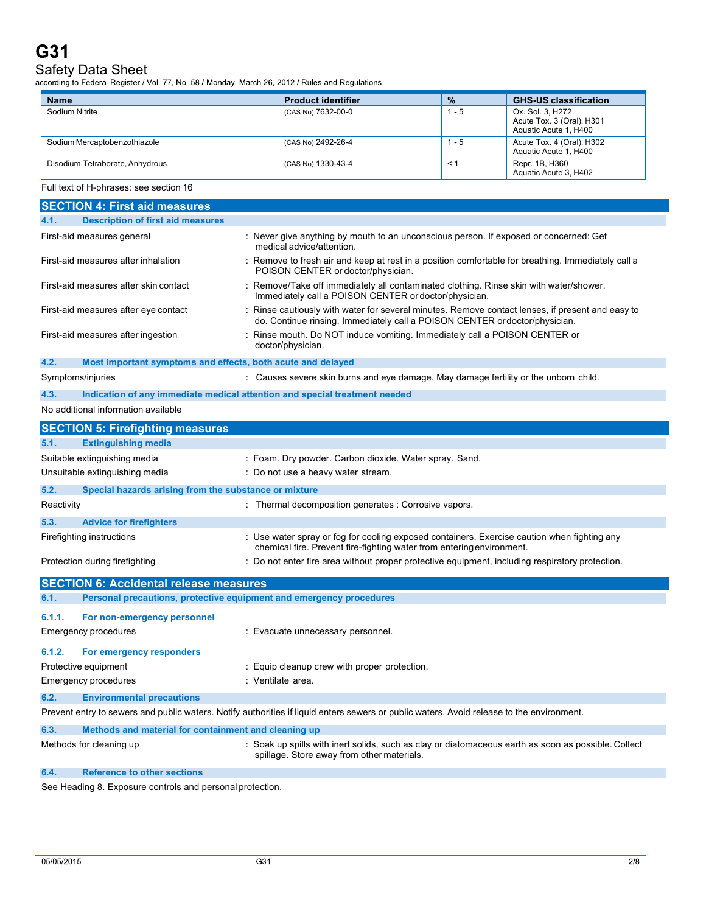Safety Data Sheet<br>according to Federal Register / Vol. 77, No. 58 / Monday, March 26, 2012 / Rules and Regulations

| <b>Name</b>                     | <b>Product identifier</b> | $\frac{9}{6}$        | <b>GHS-US classification</b>                                           |
|---------------------------------|---------------------------|----------------------|------------------------------------------------------------------------|
| Sodium Nitrite                  | (CAS No) 7632-00-0        | $1 - 5$              | Ox. Sol. 3. H272<br>Acute Tox. 3 (Oral), H301<br>Aquatic Acute 1, H400 |
| Sodium Mercaptobenzothiazole    | (CAS No) 2492-26-4        | $1 - 5$              | Acute Tox. 4 (Oral), H302<br>Aquatic Acute 1, H400                     |
| Disodium Tetraborate, Anhydrous | (CAS No) 1330-43-4        | $\prec$ $\acute{\ }$ | Repr. 1B, H360<br>Aquatic Acute 3, H402                                |

Full text of H-phrases: see section 16

| <b>SECTION 4: First aid measures</b>                                                                                                                                         |                                                                                                                                                                                |  |  |
|------------------------------------------------------------------------------------------------------------------------------------------------------------------------------|--------------------------------------------------------------------------------------------------------------------------------------------------------------------------------|--|--|
| 4.1.<br><b>Description of first aid measures</b>                                                                                                                             |                                                                                                                                                                                |  |  |
| First-aid measures general                                                                                                                                                   | : Never give anything by mouth to an unconscious person. If exposed or concerned: Get<br>medical advice/attention.                                                             |  |  |
| First-aid measures after inhalation                                                                                                                                          | : Remove to fresh air and keep at rest in a position comfortable for breathing. Immediately call a<br>POISON CENTER or doctor/physician.                                       |  |  |
| First-aid measures after skin contact                                                                                                                                        | : Remove/Take off immediately all contaminated clothing. Rinse skin with water/shower.<br>Immediately call a POISON CENTER or doctor/physician.                                |  |  |
| First-aid measures after eye contact                                                                                                                                         | : Rinse cautiously with water for several minutes. Remove contact lenses, if present and easy to<br>do. Continue rinsing. Immediately call a POISON CENTER ordoctor/physician. |  |  |
| First-aid measures after ingestion                                                                                                                                           | : Rinse mouth. Do NOT induce vomiting. Immediately call a POISON CENTER or<br>doctor/physician.                                                                                |  |  |
| 4.2.<br>Most important symptoms and effects, both acute and delayed                                                                                                          |                                                                                                                                                                                |  |  |
| Symptoms/injuries                                                                                                                                                            | : Causes severe skin burns and eye damage. May damage fertility or the unborn child.                                                                                           |  |  |
| 4.3.<br>Indication of any immediate medical attention and special treatment needed                                                                                           |                                                                                                                                                                                |  |  |
| No additional information available                                                                                                                                          |                                                                                                                                                                                |  |  |
| <b>SECTION 5: Firefighting measures</b>                                                                                                                                      |                                                                                                                                                                                |  |  |
| 5.1.<br><b>Extinguishing media</b>                                                                                                                                           |                                                                                                                                                                                |  |  |
| Suitable extinguishing media                                                                                                                                                 | : Foam. Dry powder. Carbon dioxide. Water spray. Sand.                                                                                                                         |  |  |
| Unsuitable extinguishing media                                                                                                                                               | : Do not use a heavy water stream.                                                                                                                                             |  |  |
| 5.2.<br>Special hazards arising from the substance or mixture                                                                                                                |                                                                                                                                                                                |  |  |
| Reactivity                                                                                                                                                                   | : Thermal decomposition generates : Corrosive vapors.                                                                                                                          |  |  |
| 5.3.<br><b>Advice for firefighters</b>                                                                                                                                       |                                                                                                                                                                                |  |  |
| Firefighting instructions                                                                                                                                                    | : Use water spray or fog for cooling exposed containers. Exercise caution when fighting any<br>chemical fire. Prevent fire-fighting water from entering environment.           |  |  |
| Protection during firefighting                                                                                                                                               | : Do not enter fire area without proper protective equipment, including respiratory protection.                                                                                |  |  |
| <b>SECTION 6: Accidental release measures</b>                                                                                                                                |                                                                                                                                                                                |  |  |
| 6.1.<br>Personal precautions, protective equipment and emergency procedures                                                                                                  |                                                                                                                                                                                |  |  |
| 6.1.1.<br>For non-emergency personnel                                                                                                                                        |                                                                                                                                                                                |  |  |
| Emergency procedures                                                                                                                                                         | : Evacuate unnecessary personnel.                                                                                                                                              |  |  |
| 6.1.2.<br>For emergency responders                                                                                                                                           |                                                                                                                                                                                |  |  |
| Protective equipment<br>: Equip cleanup crew with proper protection.                                                                                                         |                                                                                                                                                                                |  |  |
| <b>Emergency procedures</b>                                                                                                                                                  | : Ventilate area.                                                                                                                                                              |  |  |
| 6.2.<br><b>Environmental precautions</b>                                                                                                                                     |                                                                                                                                                                                |  |  |
|                                                                                                                                                                              | Prevent entry to sewers and public waters. Notify authorities if liquid enters sewers or public waters. Avoid release to the environment.                                      |  |  |
| 6.3.<br>Methods and material for containment and cleaning up                                                                                                                 |                                                                                                                                                                                |  |  |
| : Soak up spills with inert solids, such as clay or diatomaceous earth as soon as possible. Collect<br>Methods for cleaning up<br>spillage. Store away from other materials. |                                                                                                                                                                                |  |  |

**6.4. Reference to other sections**

See Heading 8. Exposure controls and personal protection.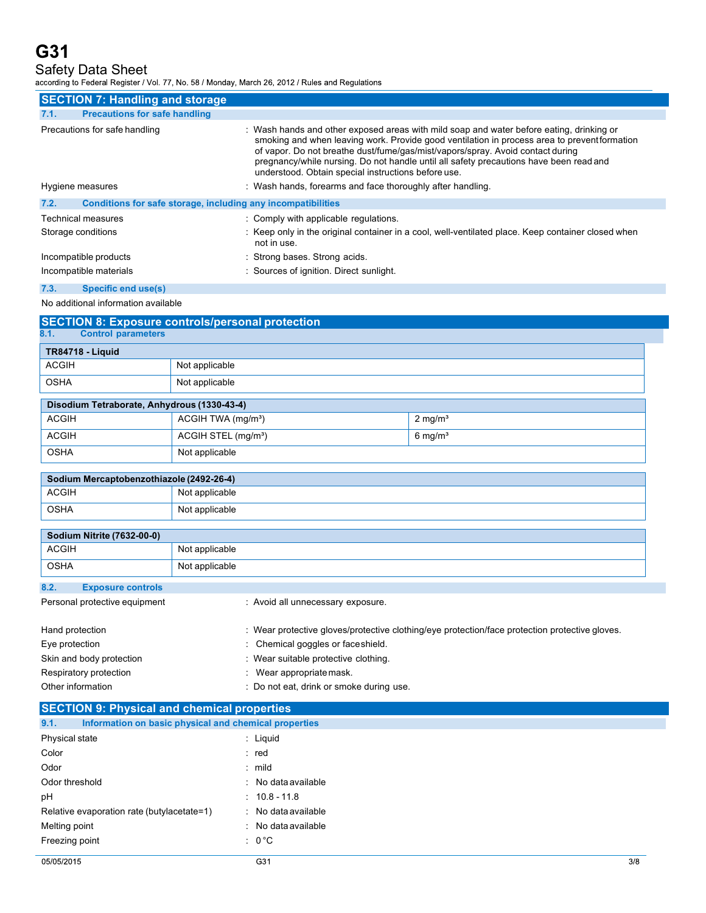Safety Data Sheet<br>according to Federal Register / Vol. 77, No. 58 / Monday, March 26, 2012 / Rules and Regulations

| <b>SECTION 7: Handling and storage</b>                               |                                                                                                                                                                                                                                                                                                                                                                                                                            |
|----------------------------------------------------------------------|----------------------------------------------------------------------------------------------------------------------------------------------------------------------------------------------------------------------------------------------------------------------------------------------------------------------------------------------------------------------------------------------------------------------------|
| <b>Precautions for safe handling</b><br>7.1.                         |                                                                                                                                                                                                                                                                                                                                                                                                                            |
| Precautions for safe handling                                        | : Wash hands and other exposed areas with mild soap and water before eating, drinking or<br>smoking and when leaving work. Provide good ventilation in process area to preventformation<br>of vapor. Do not breathe dust/fume/gas/mist/vapors/spray. Avoid contact during<br>pregnancy/while nursing. Do not handle until all safety precautions have been read and<br>understood. Obtain special instructions before use. |
| Hygiene measures                                                     | : Wash hands, forearms and face thoroughly after handling.                                                                                                                                                                                                                                                                                                                                                                 |
| Conditions for safe storage, including any incompatibilities<br>7.2. |                                                                                                                                                                                                                                                                                                                                                                                                                            |
| Technical measures                                                   | : Comply with applicable regulations.                                                                                                                                                                                                                                                                                                                                                                                      |
| Storage conditions                                                   | : Keep only in the original container in a cool, well-ventilated place. Keep container closed when<br>not in use.                                                                                                                                                                                                                                                                                                          |
| Incompatible products                                                | : Strong bases. Strong acids.                                                                                                                                                                                                                                                                                                                                                                                              |
| Incompatible materials                                               | : Sources of ignition. Direct sunlight.                                                                                                                                                                                                                                                                                                                                                                                    |

#### **7.3. Specific end use(s)**

#### No additional information available

| <b>SECTION 8: Exposure controls/personal protection</b> |                                 |                    |  |
|---------------------------------------------------------|---------------------------------|--------------------|--|
| 8.1.<br><b>Control parameters</b>                       |                                 |                    |  |
| <b>TR84718 - Liquid</b>                                 |                                 |                    |  |
| <b>ACGIH</b>                                            | Not applicable                  |                    |  |
| <b>OSHA</b>                                             | Not applicable                  |                    |  |
| Disodium Tetraborate, Anhydrous (1330-43-4)             |                                 |                    |  |
| <b>ACGIH</b>                                            | ACGIH TWA (mg/m <sup>3</sup> )  | $2 \text{ mg/m}^3$ |  |
| <b>ACGIH</b>                                            | ACGIH STEL (mg/m <sup>3</sup> ) | $6 \text{ mg/m}^3$ |  |
| <b>OSHA</b>                                             | Not applicable                  |                    |  |

| Sodium Mercaptobenzothiazole (2492-26-4) |                |  |
|------------------------------------------|----------------|--|
| <b>ACGIH</b>                             | Not applicable |  |
| OSHA                                     | Not applicable |  |

| <b>Sodium Nitrite (7632-00-0)</b> |                |
|-----------------------------------|----------------|
| <b>ACGIH</b>                      | Not applicable |
| <b>OSHA</b>                       | Not applicable |

| 8.2. | <b>Exposure controls</b>      |                                   |
|------|-------------------------------|-----------------------------------|
|      | Personal protective equipment | : Avoid all unnecessary exposure. |
|      |                               |                                   |

| Hand protection          | : Wear protective gloves/protective clothing/eye protection/face protection protective gloves. |
|--------------------------|------------------------------------------------------------------------------------------------|
| Eye protection           | : Chemical goggles or face shield.                                                             |
| Skin and body protection | : Wear suitable protective clothing.                                                           |
| Respiratory protection   | Wear appropriate mask.                                                                         |
| Other information        | : Do not eat, drink or smoke during use.                                                       |

| <b>SECTION 9: Physical and chemical properties</b>            |                     |     |  |  |
|---------------------------------------------------------------|---------------------|-----|--|--|
| Information on basic physical and chemical properties<br>9.1. |                     |     |  |  |
| Physical state                                                | $:$ Liquid          |     |  |  |
| Color                                                         | : red               |     |  |  |
| Odor                                                          | $:$ mild            |     |  |  |
| Odor threshold                                                | : No data available |     |  |  |
| pH                                                            | $: 10.8 - 11.8$     |     |  |  |
| Relative evaporation rate (butylacetate=1)                    | : No data available |     |  |  |
| Melting point                                                 | : No data available |     |  |  |
| Freezing point                                                | $: 0^{\circ}C$      |     |  |  |
| 05/05/2015                                                    | G31                 | 3/8 |  |  |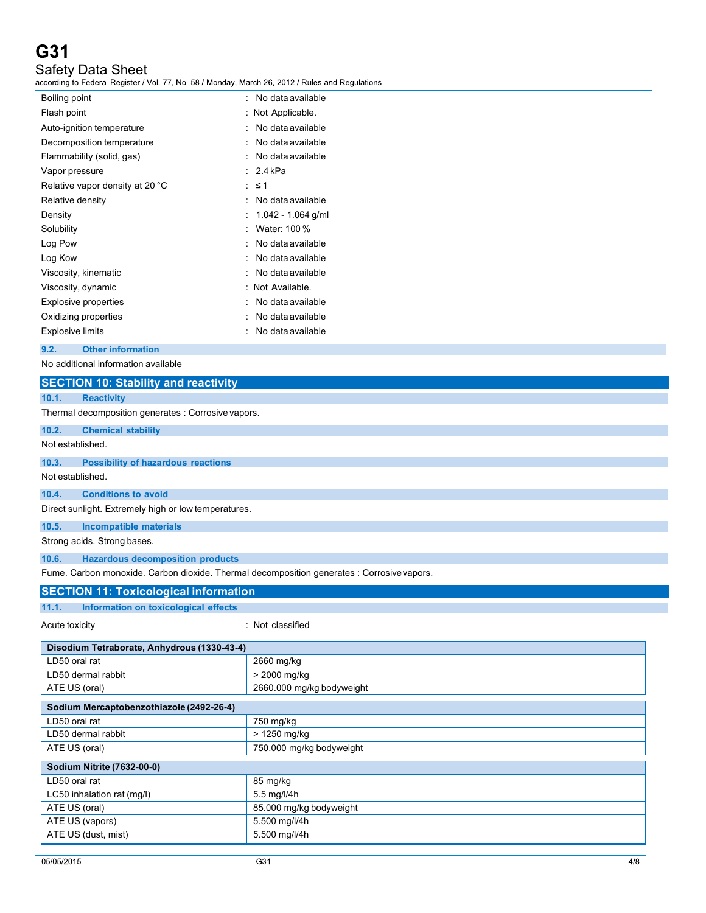Safety Data Sheet<br>according to Federal Register / Vol. 77, No. 58 / Monday, March 26, 2012 / Rules and Regulations

| Boiling point                   | No data available  |
|---------------------------------|--------------------|
| Flash point                     | : Not Applicable.  |
| Auto-ignition temperature       | No data available  |
| Decomposition temperature       | No data available  |
| Flammability (solid, gas)       | No data available  |
| Vapor pressure                  | $2.4$ kPa          |
| Relative vapor density at 20 °C | $\leq 1$           |
| Relative density                | No data available  |
| Density                         | 1.042 - 1.064 g/ml |
| Solubility                      | Water: 100 %       |
| Log Pow                         | No data available  |
| Log Kow                         | No data available  |
| Viscosity, kinematic            | No data available  |
| Viscosity, dynamic              | : Not Available.   |
| Explosive properties            | No data available  |
| Oxidizing properties            | No data available  |
| Explosive limits                | No data available  |
|                                 |                    |

## **9.2. Other information**

No additional information available

|                            | <b>SECTION 10: Stability and reactivity</b>          |                                                                                            |  |  |  |
|----------------------------|------------------------------------------------------|--------------------------------------------------------------------------------------------|--|--|--|
| 10.1.                      | <b>Reactivity</b>                                    |                                                                                            |  |  |  |
|                            | Thermal decomposition generates : Corrosive vapors.  |                                                                                            |  |  |  |
| 10.2.                      | <b>Chemical stability</b>                            |                                                                                            |  |  |  |
|                            | Not established.                                     |                                                                                            |  |  |  |
| 10.3.                      | <b>Possibility of hazardous reactions</b>            |                                                                                            |  |  |  |
| Not established.           |                                                      |                                                                                            |  |  |  |
| 10.4.                      | <b>Conditions to avoid</b>                           |                                                                                            |  |  |  |
|                            | Direct sunlight. Extremely high or low temperatures. |                                                                                            |  |  |  |
| 10.5.                      | <b>Incompatible materials</b>                        |                                                                                            |  |  |  |
|                            | Strong acids. Strong bases.                          |                                                                                            |  |  |  |
| 10.6.                      | <b>Hazardous decomposition products</b>              |                                                                                            |  |  |  |
|                            |                                                      | Fume. Carbon monoxide. Carbon dioxide. Thermal decomposition generates : Corrosive vapors. |  |  |  |
|                            | <b>SECTION 11: Toxicological information</b>         |                                                                                            |  |  |  |
| 11.1.                      | Information on toxicological effects                 |                                                                                            |  |  |  |
| Acute toxicity             |                                                      | : Not classified                                                                           |  |  |  |
|                            | Disodium Tetraborate, Anhydrous (1330-43-4)          |                                                                                            |  |  |  |
| LD50 oral rat              |                                                      | 2660 mg/kg                                                                                 |  |  |  |
| LD50 dermal rabbit         |                                                      | > 2000 mg/kg                                                                               |  |  |  |
| ATE US (oral)              |                                                      | 2660.000 mg/kg bodyweight                                                                  |  |  |  |
|                            | Sodium Mercaptobenzothiazole (2492-26-4)             |                                                                                            |  |  |  |
| LD50 oral rat              |                                                      | 750 mg/kg                                                                                  |  |  |  |
| <b>I DEO</b> dormal rabbit |                                                      | $\sim$ 1250 malka                                                                          |  |  |  |

| LD50 dermal rabbit         | > 1250 mg/kg             |  |
|----------------------------|--------------------------|--|
| ATE US (oral)              | 750.000 mg/kg bodyweight |  |
| Sodium Nitrite (7632-00-0) |                          |  |
| LD50 oral rat              | 85 mg/kg                 |  |
| LC50 inhalation rat (mg/l) | $5.5 \,\mathrm{mq}/l/4h$ |  |
| ATE US (oral)              | 85.000 mg/kg bodyweight  |  |
| ATE US (vapors)            | 5.500 mg/l/4h            |  |
| ATE US (dust, mist)        | 5.500 mg/l/4h            |  |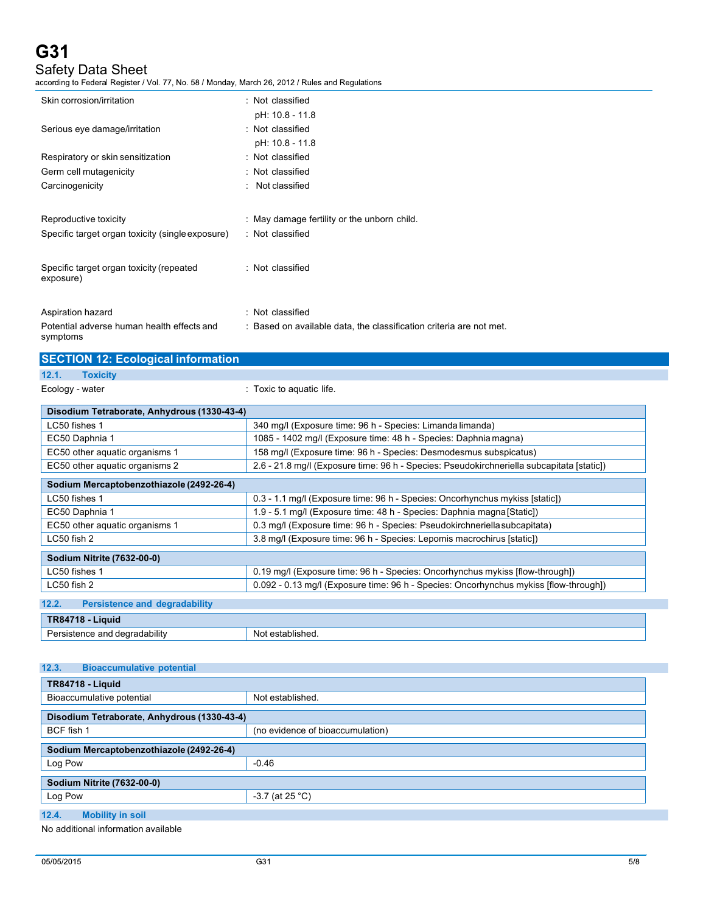symptoms

Safety Data Sheet<br>according to Federal Register / Vol. 77, No. 58 / Monday, March 26, 2012 / Rules and Regulations

| Skin corrosion/irritation                             | : Not classified<br>pH: 10.8 - 11.8                                 |
|-------------------------------------------------------|---------------------------------------------------------------------|
| Serious eye damage/irritation                         | : Not classified                                                    |
|                                                       | pH: 10.8 - 11.8                                                     |
| Respiratory or skin sensitization                     | : Not classified                                                    |
| Germ cell mutagenicity                                | : Not classified                                                    |
| Carcinogenicity                                       | : Not classified                                                    |
| Reproductive toxicity                                 | : May damage fertility or the unborn child.                         |
| Specific target organ toxicity (single exposure)      | : Not classified                                                    |
| Specific target organ toxicity (repeated<br>exposure) | : Not classified                                                    |
| Aspiration hazard                                     | : Not classified                                                    |
| Potential adverse human health effects and            | : Based on available data, the classification criteria are not met. |

|                                             | <b>SECTION 12: Ecological information</b> |                          |  |  |  |
|---------------------------------------------|-------------------------------------------|--------------------------|--|--|--|
| 12.1.                                       | <b>Toxicity</b>                           |                          |  |  |  |
| Ecology - water                             |                                           | : Toxic to aquatic life. |  |  |  |
| Disodium Tetraborate, Anhydrous (1330-43-4) |                                           |                          |  |  |  |

| LC50 fishes 1                                 | 340 mg/l (Exposure time: 96 h - Species: Limanda limanda)                                 |  |  |
|-----------------------------------------------|-------------------------------------------------------------------------------------------|--|--|
| EC50 Daphnia 1                                | 1085 - 1402 mg/l (Exposure time: 48 h - Species: Daphnia magna)                           |  |  |
| EC50 other aquatic organisms 1                | 158 mg/l (Exposure time: 96 h - Species: Desmodesmus subspicatus)                         |  |  |
| EC50 other aquatic organisms 2                | 2.6 - 21.8 mg/l (Exposure time: 96 h - Species: Pseudokirchneriella subcapitata [static]) |  |  |
| Sodium Mercaptobenzothiazole (2492-26-4)      |                                                                                           |  |  |
| LC50 fishes 1                                 | 0.3 - 1.1 mg/l (Exposure time: 96 h - Species: Oncorhynchus mykiss [static])              |  |  |
| EC50 Daphnia 1                                | 1.9 - 5.1 mg/l (Exposure time: 48 h - Species: Daphnia magna [Static])                    |  |  |
| EC50 other aguatic organisms 1                | 0.3 mg/l (Exposure time: 96 h - Species: Pseudokirchneriella subcapitata)                 |  |  |
| LC50 fish 2                                   | 3.8 mg/l (Exposure time: 96 h - Species: Lepomis macrochirus [static])                    |  |  |
| Sodium Nitrite (7632-00-0)                    |                                                                                           |  |  |
| LC50 fishes 1                                 | 0.19 mg/l (Exposure time: 96 h - Species: Oncorhynchus mykiss [flow-through])             |  |  |
| $LC50$ fish 2                                 | 0.092 - 0.13 mg/l (Exposure time: 96 h - Species: Oncorhynchus mykiss [flow-through])     |  |  |
| 12.2.<br><b>Persistence and degradability</b> |                                                                                           |  |  |
| <b>TR84718 - Liquid</b>                       |                                                                                           |  |  |

| .iquid<br>- 0                              |                            |
|--------------------------------------------|----------------------------|
| .<br>-<br>ਾ≏⊴ebilitv<br>л.<br>המחרי<br>. . | Nr<br>.<br>$\sim$ 10.<br>. |

| 12.3.<br><b>Bioaccumulative potential</b>           |                   |  |  |
|-----------------------------------------------------|-------------------|--|--|
| <b>TR84718 - Liquid</b>                             |                   |  |  |
| Bioaccumulative potential                           | Not established.  |  |  |
| Disodium Tetraborate, Anhydrous (1330-43-4)         |                   |  |  |
| BCF fish 1<br>(no evidence of bioaccumulation)      |                   |  |  |
| Sodium Mercaptobenzothiazole (2492-26-4)            |                   |  |  |
| Log Pow                                             | $-0.46$           |  |  |
| Sodium Nitrite (7632-00-0)                          |                   |  |  |
| Log Pow                                             | $-3.7$ (at 25 °C) |  |  |
| 12.4.<br><b>Mobility in soil</b>                    |                   |  |  |
| h le ce elebración de la consection constituto la l |                   |  |  |

No additional information available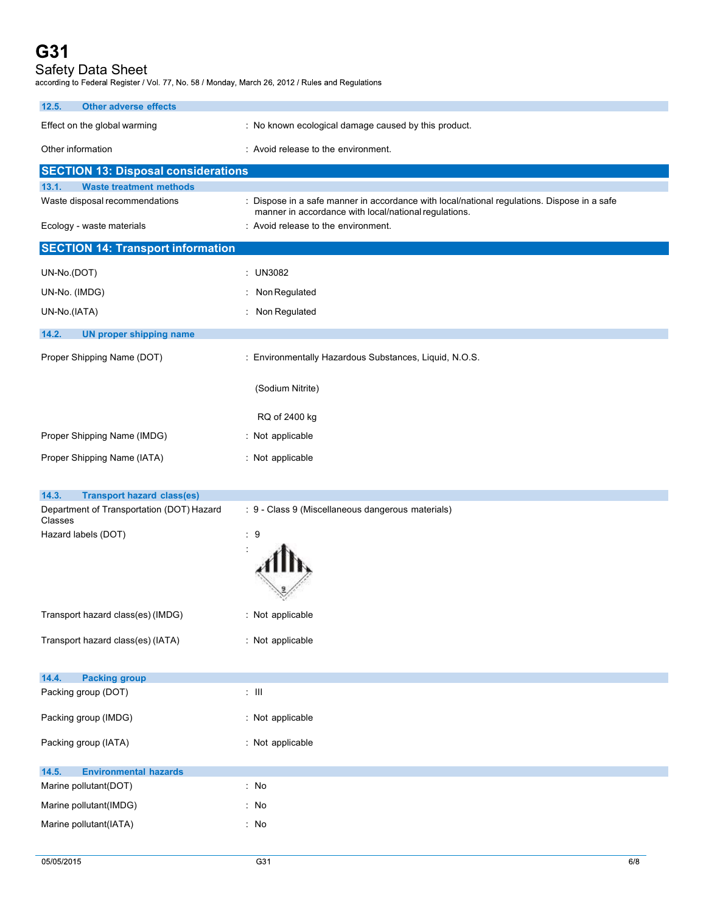Safety Data Sheet<br>according to Federal Register / Vol. 77, No. 58 / Monday, March 26, 2012 / Rules and Regulations

| 12.5.<br><b>Other adverse effects</b>                |                                                                                                                                                      |  |  |  |
|------------------------------------------------------|------------------------------------------------------------------------------------------------------------------------------------------------------|--|--|--|
| Effect on the global warming                         | : No known ecological damage caused by this product.                                                                                                 |  |  |  |
| Other information                                    | : Avoid release to the environment.                                                                                                                  |  |  |  |
| <b>SECTION 13: Disposal considerations</b>           |                                                                                                                                                      |  |  |  |
| 13.1.<br><b>Waste treatment methods</b>              |                                                                                                                                                      |  |  |  |
| Waste disposal recommendations                       | : Dispose in a safe manner in accordance with local/national regulations. Dispose in a safe<br>manner in accordance with local/national regulations. |  |  |  |
| Ecology - waste materials                            | : Avoid release to the environment.                                                                                                                  |  |  |  |
| <b>SECTION 14: Transport information</b>             |                                                                                                                                                      |  |  |  |
| UN-No.(DOT)                                          | : UN3082                                                                                                                                             |  |  |  |
| UN-No. (IMDG)                                        | Non Regulated                                                                                                                                        |  |  |  |
| UN-No.(IATA)                                         | : Non Regulated                                                                                                                                      |  |  |  |
| 14.2.<br><b>UN proper shipping name</b>              |                                                                                                                                                      |  |  |  |
| Proper Shipping Name (DOT)                           | : Environmentally Hazardous Substances, Liquid, N.O.S.                                                                                               |  |  |  |
|                                                      | (Sodium Nitrite)                                                                                                                                     |  |  |  |
|                                                      | RQ of 2400 kg                                                                                                                                        |  |  |  |
| Proper Shipping Name (IMDG)                          | : Not applicable                                                                                                                                     |  |  |  |
| Proper Shipping Name (IATA)                          | : Not applicable                                                                                                                                     |  |  |  |
| 14.3.<br><b>Transport hazard class(es)</b>           |                                                                                                                                                      |  |  |  |
| Department of Transportation (DOT) Hazard<br>Classes | : 9 - Class 9 (Miscellaneous dangerous materials)                                                                                                    |  |  |  |
| Hazard labels (DOT)                                  | : 9                                                                                                                                                  |  |  |  |
|                                                      |                                                                                                                                                      |  |  |  |
|                                                      |                                                                                                                                                      |  |  |  |
| Transport hazard class(es) (IMDG)                    | : Not applicable                                                                                                                                     |  |  |  |
| Transport hazard class(es) (IATA)                    | : Not applicable                                                                                                                                     |  |  |  |
| 14.4.<br><b>Packing group</b>                        |                                                                                                                                                      |  |  |  |
| Packing group (DOT)                                  | $\lesssim 10$                                                                                                                                        |  |  |  |
| Packing group (IMDG)                                 | : Not applicable                                                                                                                                     |  |  |  |
| Packing group (IATA)                                 | : Not applicable                                                                                                                                     |  |  |  |
| 14.5.<br><b>Environmental hazards</b>                |                                                                                                                                                      |  |  |  |
| Marine pollutant(DOT)                                | : No                                                                                                                                                 |  |  |  |
| Marine pollutant(IMDG)                               | : No                                                                                                                                                 |  |  |  |
| Marine pollutant(IATA)                               | : No                                                                                                                                                 |  |  |  |
|                                                      |                                                                                                                                                      |  |  |  |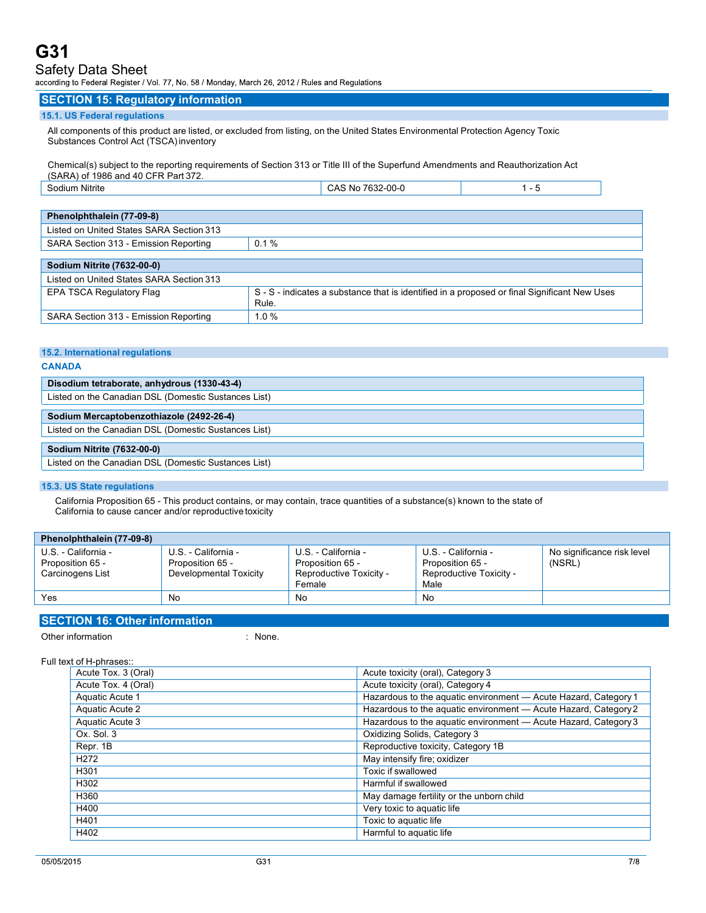Safety Data Sheet<br>according to Federal Register / Vol. 77, No. 58 / Monday, March 26, 2012 / Rules and Regulations

#### **SECTION 15: Regulatory information**

#### **15.1. US Federal regulations**

All components of this product are listed, or excluded from listing, on the United States Environmental Protection Agency Toxic Substances Control Act (TSCA) inventory

Chemical(s) subject to the reporting requirements of Section 313 or Title III of the Superfund Amendments and Reauthorization Act (SARA) of 1986 and 40 CFR Part 372.

| $\overline{\phantom{0}}$<br>Nitrite<br>dium | יכםי<br>. AS<br>-NO<br>JU-'<br>,,,,,<br>-<br>. |  |
|---------------------------------------------|------------------------------------------------|--|
|                                             |                                                |  |

| Phenolphthalein (77-09-8)                |      |  |
|------------------------------------------|------|--|
| Listed on United States SARA Section 313 |      |  |
| SARA Section 313 - Emission Reporting    | 0.1% |  |
|                                          |      |  |

| <b>Sodium Nitrite (7632-00-0)</b>        |                                                                                                                     |  |
|------------------------------------------|---------------------------------------------------------------------------------------------------------------------|--|
| Listed on United States SARA Section 313 |                                                                                                                     |  |
| EPA TSCA Regulatory Flag                 | $\,^{\prime}$ S - S - indicates a substance that is identified in a proposed or final Significant New Uses<br>Rule. |  |
| SARA Section 313 - Emission Reporting    | $1.0\%$                                                                                                             |  |

#### **15.2. International regulations**

#### **CANADA**

| Disodium tetraborate, anhydrous (1330-43-4)          |  |  |  |
|------------------------------------------------------|--|--|--|
| Listed on the Canadian DSL (Domestic Sustances List) |  |  |  |
| Sodium Mercaptobenzothiazole (2492-26-4)             |  |  |  |
| Listed on the Canadian DSL (Domestic Sustances List) |  |  |  |
| Sodium Nitrite (7632-00-0)                           |  |  |  |
| Listed on the Canadian DSL (Domestic Sustances List) |  |  |  |

#### **15.3. US State regulations**

California Proposition 65 - This product contains, or may contain, trace quantities of a substance(s) known to the state of California to cause cancer and/or reproductive toxicity

| Phenolphthalein (77-09-8)                                   |                                                                   |                                                                              |                                                                            |                                      |
|-------------------------------------------------------------|-------------------------------------------------------------------|------------------------------------------------------------------------------|----------------------------------------------------------------------------|--------------------------------------|
| U.S. - California -<br>Proposition 65 -<br>Carcinogens List | U.S. - California -<br>Proposition 65 -<br>Developmental Toxicity | U.S. - California -<br>Proposition 65 -<br>Reproductive Toxicity -<br>Female | U.S. - California -<br>Proposition 65 -<br>Reproductive Toxicity -<br>Male | No significance risk level<br>(NSRL) |
| Yes                                                         | No                                                                | No                                                                           | No                                                                         |                                      |

### **SECTION 16: Other information**

Other information in the set of the set of the set of the set of the set of the set of the set of the set of the set of the set of the set of the set of the set of the set of the set of the set of the set of the set of the

Full text of H-phrases::

| Acute Tox. 3 (Oral) | Acute toxicity (oral), Category 3                               |
|---------------------|-----------------------------------------------------------------|
| Acute Tox. 4 (Oral) | Acute toxicity (oral), Category 4                               |
| Aquatic Acute 1     | Hazardous to the aquatic environment - Acute Hazard, Category 1 |
| Aquatic Acute 2     | Hazardous to the aquatic environment - Acute Hazard, Category 2 |
| Aquatic Acute 3     | Hazardous to the aquatic environment - Acute Hazard, Category 3 |
| Ox. Sol. 3          | Oxidizing Solids, Category 3                                    |
| Repr. 1B            | Reproductive toxicity, Category 1B                              |
| H <sub>272</sub>    | May intensify fire; oxidizer                                    |
| H301                | Toxic if swallowed                                              |
| H302                | Harmful if swallowed                                            |
| H360                | May damage fertility or the unborn child                        |
| H400                | Very toxic to aquatic life                                      |
| H401                | Toxic to aquatic life                                           |
| H402                | Harmful to aquatic life                                         |